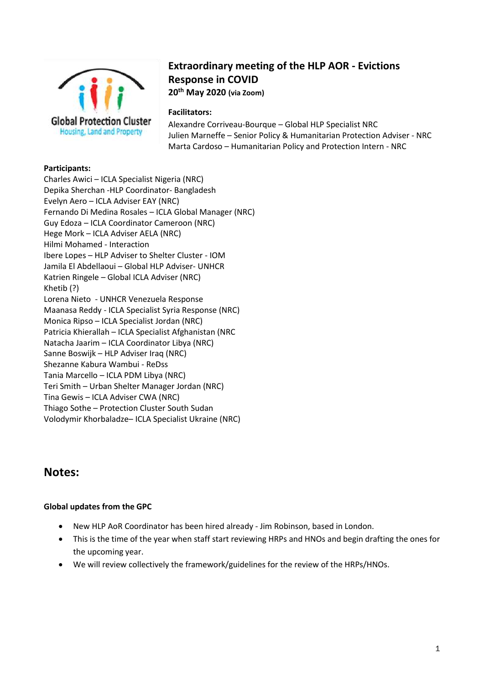

# **Extraordinary meeting of the HLP AOR - Evictions Response in COVID 20th May 2020 (via Zoom)**

### **Facilitators:**

Alexandre Corriveau-Bourque – Global HLP Specialist NRC Julien Marneffe – Senior Policy & Humanitarian Protection Adviser - NRC Marta Cardoso – Humanitarian Policy and Protection Intern - NRC

#### **Participants:**

Charles Awici – ICLA Specialist Nigeria (NRC) Depika Sherchan -HLP Coordinator- Bangladesh Evelyn Aero – ICLA Adviser EAY (NRC) Fernando Di Medina Rosales – ICLA Global Manager (NRC) Guy Edoza – ICLA Coordinator Cameroon (NRC) Hege Mork – ICLA Adviser AELA (NRC) Hilmi Mohamed - Interaction Ibere Lopes – HLP Adviser to Shelter Cluster - IOM Jamila El Abdellaoui – Global HLP Adviser- UNHCR Katrien Ringele – Global ICLA Adviser (NRC) Khetib (?) Lorena Nieto - UNHCR Venezuela Response Maanasa Reddy - ICLA Specialist Syria Response (NRC) Monica Ripso – ICLA Specialist Jordan (NRC) Patricia Khierallah – ICLA Specialist Afghanistan (NRC Natacha Jaarim – ICLA Coordinator Libya (NRC) Sanne Boswijk – HLP Adviser Iraq (NRC) Shezanne Kabura Wambui - ReDss Tania Marcello – ICLA PDM Libya (NRC) Teri Smith – Urban Shelter Manager Jordan (NRC) Tina Gewis – ICLA Adviser CWA (NRC) Thiago Sothe – Protection Cluster South Sudan Volodymir Khorbaladze– ICLA Specialist Ukraine (NRC)

## **Notes:**

### **Global updates from the GPC**

- New HLP AoR Coordinator has been hired already Jim Robinson, based in London.
- This is the time of the year when staff start reviewing HRPs and HNOs and begin drafting the ones for the upcoming year.
- We will review collectively the framework/guidelines for the review of the HRPs/HNOs.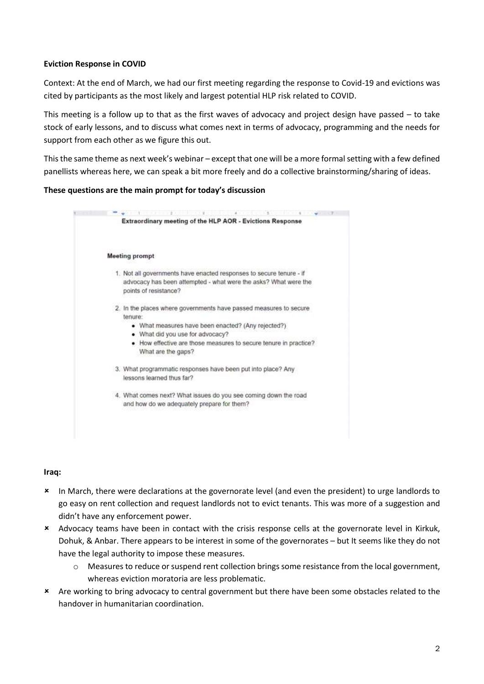#### **Eviction Response in COVID**

Context: At the end of March, we had our first meeting regarding the response to Covid-19 and evictions was cited by participants as the most likely and largest potential HLP risk related to COVID.

This meeting is a follow up to that as the first waves of advocacy and project design have passed – to take stock of early lessons, and to discuss what comes next in terms of advocacy, programming and the needs for support from each other as we figure this out.

This the same theme as next week's webinar – except that one will be a more formal setting with a few defined panellists whereas here, we can speak a bit more freely and do a collective brainstorming/sharing of ideas.

#### **These questions are the main prompt for today's discussion**



#### **Iraq:**

- In March, there were declarations at the governorate level (and even the president) to urge landlords to go easy on rent collection and request landlords not to evict tenants. This was more of a suggestion and didn't have any enforcement power.
- Advocacy teams have been in contact with the crisis response cells at the governorate level in Kirkuk, Dohuk, & Anbar. There appears to be interest in some of the governorates – but It seems like they do not have the legal authority to impose these measures.
	- $\circ$  Measures to reduce or suspend rent collection brings some resistance from the local government, whereas eviction moratoria are less problematic.
- Are working to bring advocacy to central government but there have been some obstacles related to the handover in humanitarian coordination.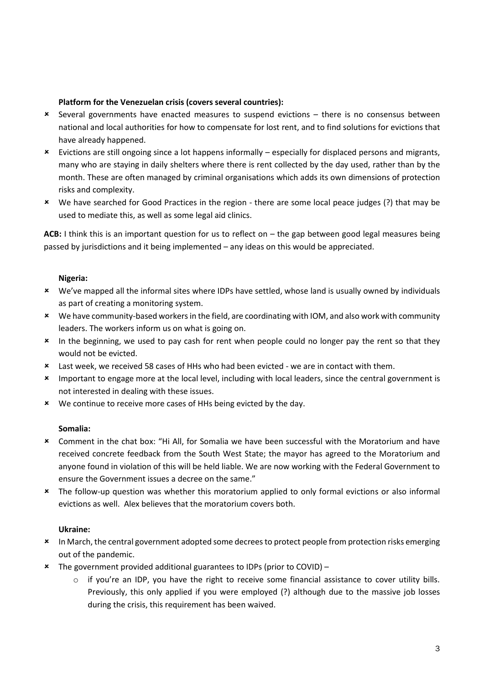### **Platform for the Venezuelan crisis (covers several countries):**

- Several governments have enacted measures to suspend evictions there is no consensus between national and local authorities for how to compensate for lost rent, and to find solutions for evictions that have already happened.
- Evictions are still ongoing since a lot happens informally especially for displaced persons and migrants, many who are staying in daily shelters where there is rent collected by the day used, rather than by the month. These are often managed by criminal organisations which adds its own dimensions of protection risks and complexity.
- We have searched for Good Practices in the region there are some local peace judges (?) that may be used to mediate this, as well as some legal aid clinics.

**ACB:** I think this is an important question for us to reflect on – the gap between good legal measures being passed by jurisdictions and it being implemented – any ideas on this would be appreciated.

#### **Nigeria:**

- We've mapped all the informal sites where IDPs have settled, whose land is usually owned by individuals as part of creating a monitoring system.
- We have community-based workers in the field, are coordinating with IOM, and also work with community leaders. The workers inform us on what is going on.
- \* In the beginning, we used to pay cash for rent when people could no longer pay the rent so that they would not be evicted.
- Last week, we received 58 cases of HHs who had been evicted we are in contact with them.
- \* Important to engage more at the local level, including with local leaders, since the central government is not interested in dealing with these issues.
- We continue to receive more cases of HHs being evicted by the day.

#### **Somalia:**

- Comment in the chat box: "Hi All, for Somalia we have been successful with the Moratorium and have received concrete feedback from the South West State; the mayor has agreed to the Moratorium and anyone found in violation of this will be held liable. We are now working with the Federal Government to ensure the Government issues a decree on the same."
- The follow-up question was whether this moratorium applied to only formal evictions or also informal evictions as well. Alex believes that the moratorium covers both.

#### **Ukraine:**

- \* In March, the central government adopted some decrees to protect people from protection risks emerging out of the pandemic.
- The government provided additional guarantees to IDPs (prior to COVID)
	- $\circ$  if you're an IDP, you have the right to receive some financial assistance to cover utility bills. Previously, this only applied if you were employed (?) although due to the massive job losses during the crisis, this requirement has been waived.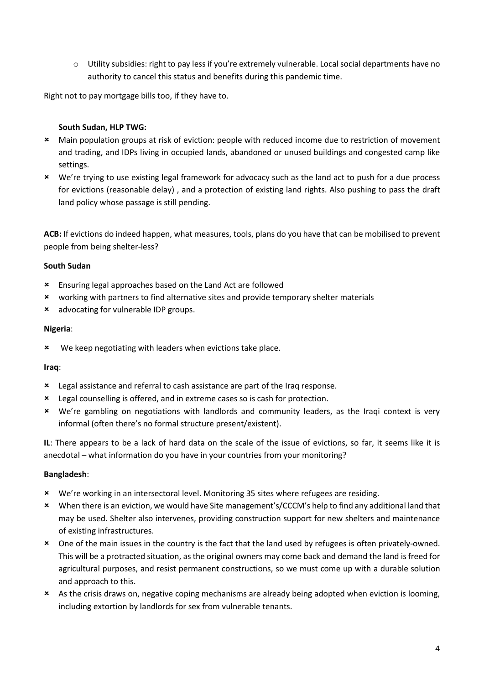o Utility subsidies: right to pay less if you're extremely vulnerable. Local social departments have no authority to cancel this status and benefits during this pandemic time.

Right not to pay mortgage bills too, if they have to.

### **South Sudan, HLP TWG:**

- Main population groups at risk of eviction: people with reduced income due to restriction of movement and trading, and IDPs living in occupied lands, abandoned or unused buildings and congested camp like settings.
- We're trying to use existing legal framework for advocacy such as the land act to push for a due process for evictions (reasonable delay) , and a protection of existing land rights. Also pushing to pass the draft land policy whose passage is still pending.

**ACB:** If evictions do indeed happen, what measures, tools, plans do you have that can be mobilised to prevent people from being shelter-less?

### **South Sudan**

- Ensuring legal approaches based on the Land Act are followed
- working with partners to find alternative sites and provide temporary shelter materials
- advocating for vulnerable IDP groups.

### **Nigeria**:

**\*** We keep negotiating with leaders when evictions take place.

### **Iraq**:

- Legal assistance and referral to cash assistance are part of the Iraq response.
- Legal counselling is offered, and in extreme cases so is cash for protection.
- We're gambling on negotiations with landlords and community leaders, as the Iraqi context is very informal (often there's no formal structure present/existent).

**IL**: There appears to be a lack of hard data on the scale of the issue of evictions, so far, it seems like it is anecdotal – what information do you have in your countries from your monitoring?

### **Bangladesh**:

- We're working in an intersectoral level. Monitoring 35 sites where refugees are residing.
- When there is an eviction, we would have Site management's/CCCM's help to find any additional land that may be used. Shelter also intervenes, providing construction support for new shelters and maintenance of existing infrastructures.
- One of the main issues in the country is the fact that the land used by refugees is often privately-owned. This will be a protracted situation, as the original owners may come back and demand the land is freed for agricultural purposes, and resist permanent constructions, so we must come up with a durable solution and approach to this.
- As the crisis draws on, negative coping mechanisms are already being adopted when eviction is looming, including extortion by landlords for sex from vulnerable tenants.